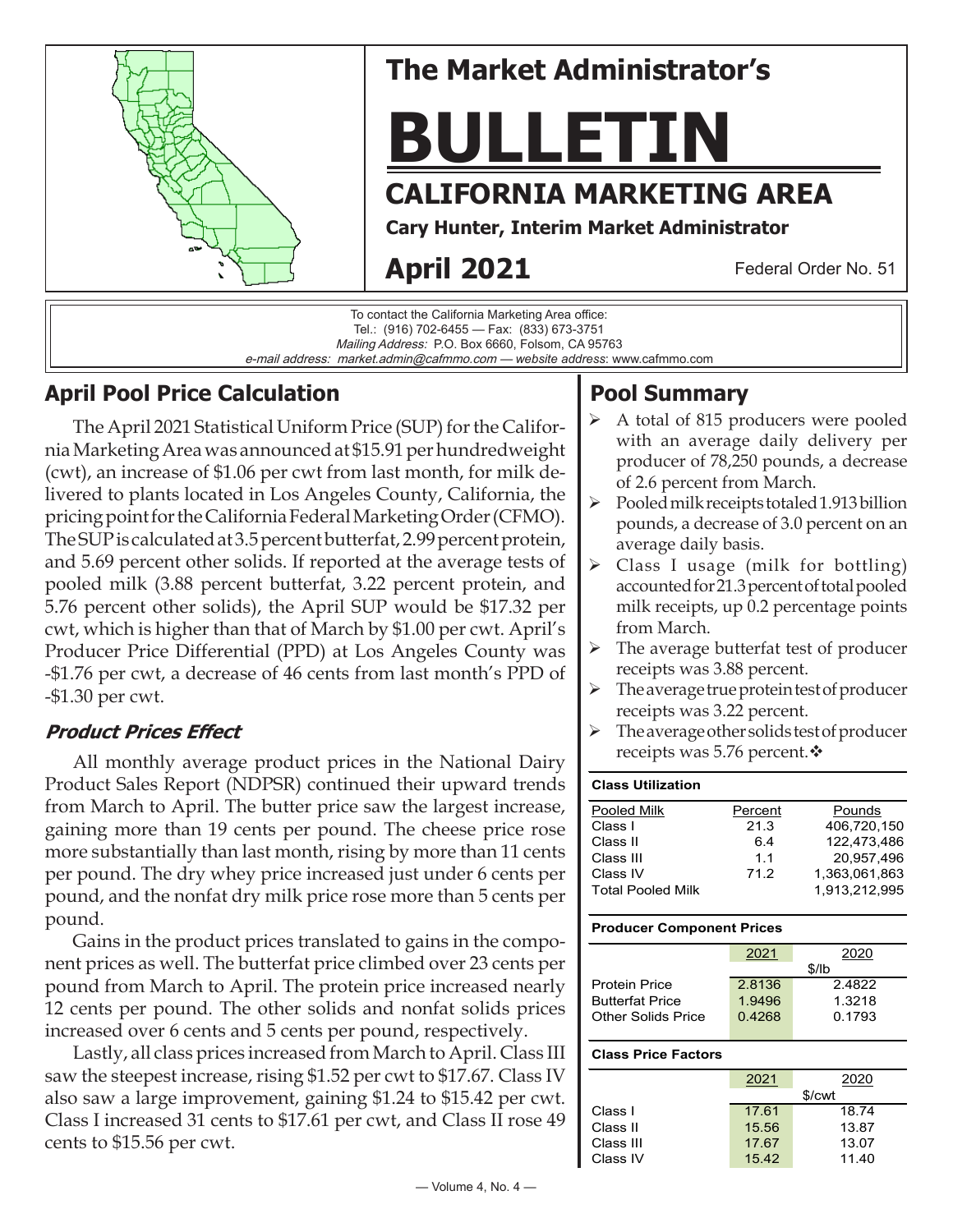

### **April Pool Price Calculation**

The April 2021 Statistical Uniform Price (SUP) for the California Marketing Area was announced at \$15.91 per hundredweight (cwt), an increase of \$1.06 per cwt from last month, for milk delivered to plants located in Los Angeles County, California, the pricing point for the California Federal Marketing Order (CFMO). The SUP is calculated at 3.5 percent butterfat, 2.99 percent protein, and 5.69 percent other solids. If reported at the average tests of pooled milk (3.88 percent butterfat, 3.22 percent protein, and 5.76 percent other solids), the April SUP would be \$17.32 per cwt, which is higher than that of March by \$1.00 per cwt. April's Producer Price Differential (PPD) at Los Angeles County was -\$1.76 per cwt, a decrease of 46 cents from last month's PPD of -\$1.30 per cwt.

### **Product Prices Effect**

All monthly average product prices in the National Dairy Product Sales Report (NDPSR) continued their upward trends from March to April. The butter price saw the largest increase, gaining more than 19 cents per pound. The cheese price rose more substantially than last month, rising by more than 11 cents per pound. The dry whey price increased just under 6 cents per pound, and the nonfat dry milk price rose more than 5 cents per pound.

Gains in the product prices translated to gains in the component prices as well. The butterfat price climbed over 23 cents per pound from March to April. The protein price increased nearly 12 cents per pound. The other solids and nonfat solids prices increased over 6 cents and 5 cents per pound, respectively.

Lastly, all class prices increased from March to April. Class III saw the steepest increase, rising \$1.52 per cwt to \$17.67. Class IV also saw a large improvement, gaining \$1.24 to \$15.42 per cwt. Class I increased 31 cents to \$17.61 per cwt, and Class II rose 49 cents to \$15.56 per cwt.

# **Pool Summary**

- $\triangleright$  A total of 815 producers were pooled with an average daily delivery per producer of 78,250 pounds, a decrease of 2.6 percent from March.
- $\triangleright$  Pooled milk receipts totaled 1.913 billion pounds, a decrease of 3.0 percent on an average daily basis.
- $\triangleright$  Class I usage (milk for bottling) accounted for 21.3 percent of total pooled milk receipts, up 0.2 percentage points from March.
- $\triangleright$  The average butterfat test of producer receipts was 3.88 percent.
- $\triangleright$  The average true protein test of producer receipts was 3.22 percent.
- $\triangleright$  The average other solids test of producer receipts was 5.76 percent. $\mathbf{\hat{v}}$

#### **Class Utilization** Pooled Milk **Percent** Pounds Class I 21.3 406,720,150 Class II 6.4 122,473,486 Class III 1.1 20,957,496 Class IV 71.2 1,363,061,863 Total Pooled Milk 1,913,212,995

### **Producer Component Prices**

|                           | 2021   | 2020   |  |  |
|---------------------------|--------|--------|--|--|
|                           | \$/lh  |        |  |  |
| <b>Protein Price</b>      | 2.8136 | 2.4822 |  |  |
| <b>Butterfat Price</b>    | 1.9496 | 1.3218 |  |  |
| <b>Other Solids Price</b> | 0.4268 | 0.1793 |  |  |
|                           |        |        |  |  |

#### **Class Price Factors**

|           | 2021   | 2020  |  |  |
|-----------|--------|-------|--|--|
|           | \$/cwt |       |  |  |
| Class I   | 17.61  | 18.74 |  |  |
| Class II  | 15.56  | 13.87 |  |  |
| Class III | 17.67  | 13.07 |  |  |
| Class IV  | 15.42  | 11.40 |  |  |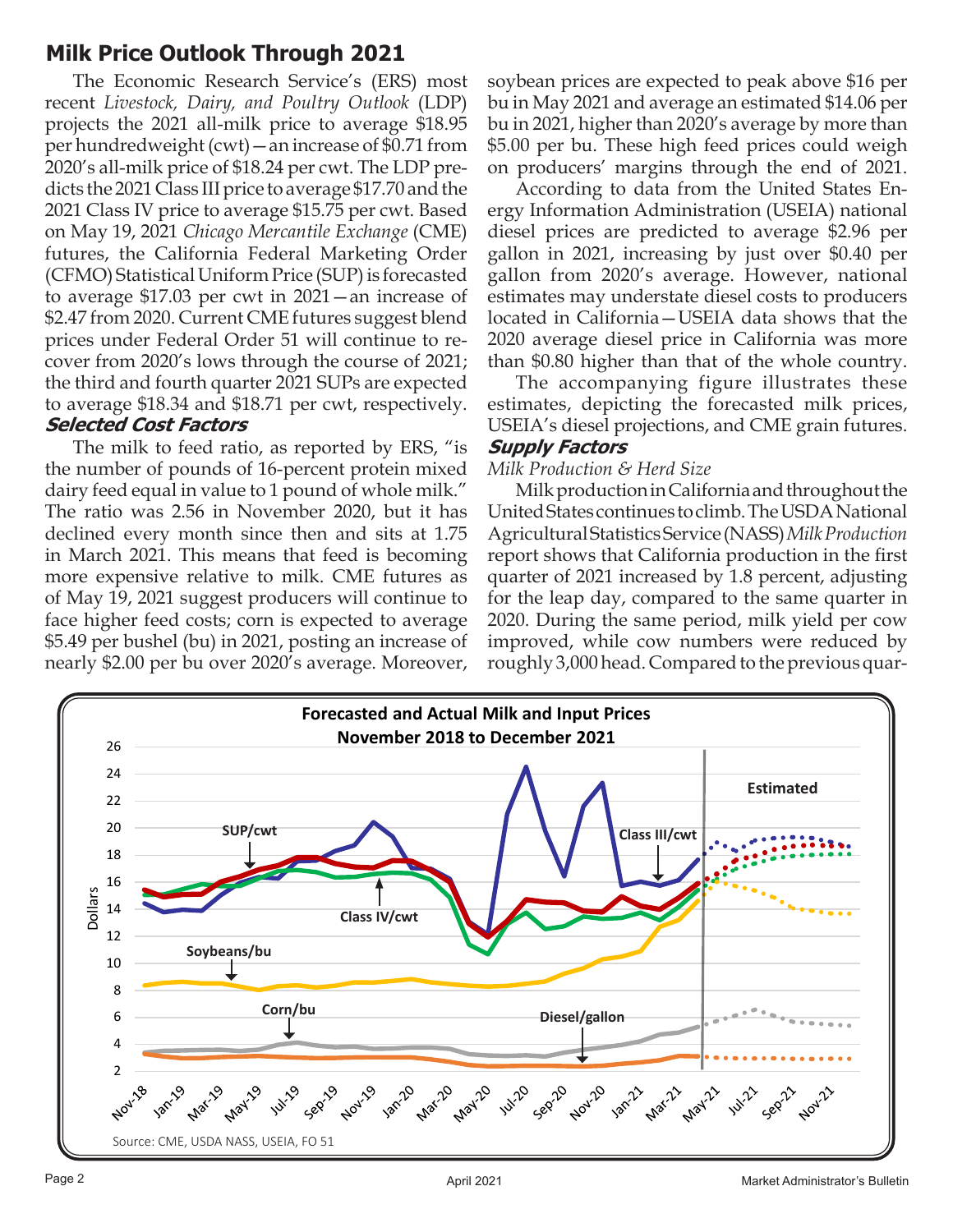# **Milk Price Outlook Through 2021**

The Economic Research Service's (ERS) most recent *Livestock, Dairy, and Poultry Outlook* (LDP) projects the 2021 all-milk price to average \$18.95 per hundredweight (cwt)—an increase of \$0.71 from 2020's all-milk price of \$18.24 per cwt. The LDP predicts the 2021 Class III price to average \$17.70 and the 2021 Class IV price to average \$15.75 per cwt. Based on May 19, 2021 *Chicago Mercantile Exchange* (CME) futures, the California Federal Marketing Order (CFMO) Statistical Uniform Price (SUP) is forecasted to average \$17.03 per cwt in 2021—an increase of \$2.47 from 2020. Current CME futures suggest blend prices under Federal Order 51 will continue to recover from 2020's lows through the course of 2021; the third and fourth quarter 2021 SUPs are expected to average \$18.34 and \$18.71 per cwt, respectively. **Selected Cost Factors**

The milk to feed ratio, as reported by ERS, "is the number of pounds of 16-percent protein mixed dairy feed equal in value to 1 pound of whole milk." The ratio was 2.56 in November 2020, but it has declined every month since then and sits at 1.75 in March 2021. This means that feed is becoming more expensive relative to milk. CME futures as of May 19, 2021 suggest producers will continue to face higher feed costs; corn is expected to average \$5.49 per bushel (bu) in 2021, posting an increase of nearly \$2.00 per bu over 2020's average. Moreover,

soybean prices are expected to peak above \$16 per bu in May 2021 and average an estimated \$14.06 per bu in 2021, higher than 2020's average by more than \$5.00 per bu. These high feed prices could weigh on producers' margins through the end of 2021.

According to data from the United States Energy Information Administration (USEIA) national diesel prices are predicted to average \$2.96 per gallon in 2021, increasing by just over \$0.40 per gallon from 2020's average. However, national estimates may understate diesel costs to producers located in California—USEIA data shows that the 2020 average diesel price in California was more than \$0.80 higher than that of the whole country.

The accompanying figure illustrates these estimates, depicting the forecasted milk prices, USEIA's diesel projections, and CME grain futures.

### **Supply Factors**

#### *Milk Production & Herd Size*

Milk production in California and throughout the United States continues to climb. The USDA National Agricultural Statistics Service (NASS) *Milk Production* report shows that California production in the first quarter of 2021 increased by 1.8 percent, adjusting for the leap day, compared to the same quarter in 2020. During the same period, milk yield per cow improved, while cow numbers were reduced by roughly 3,000 head. Compared to the previous quar-

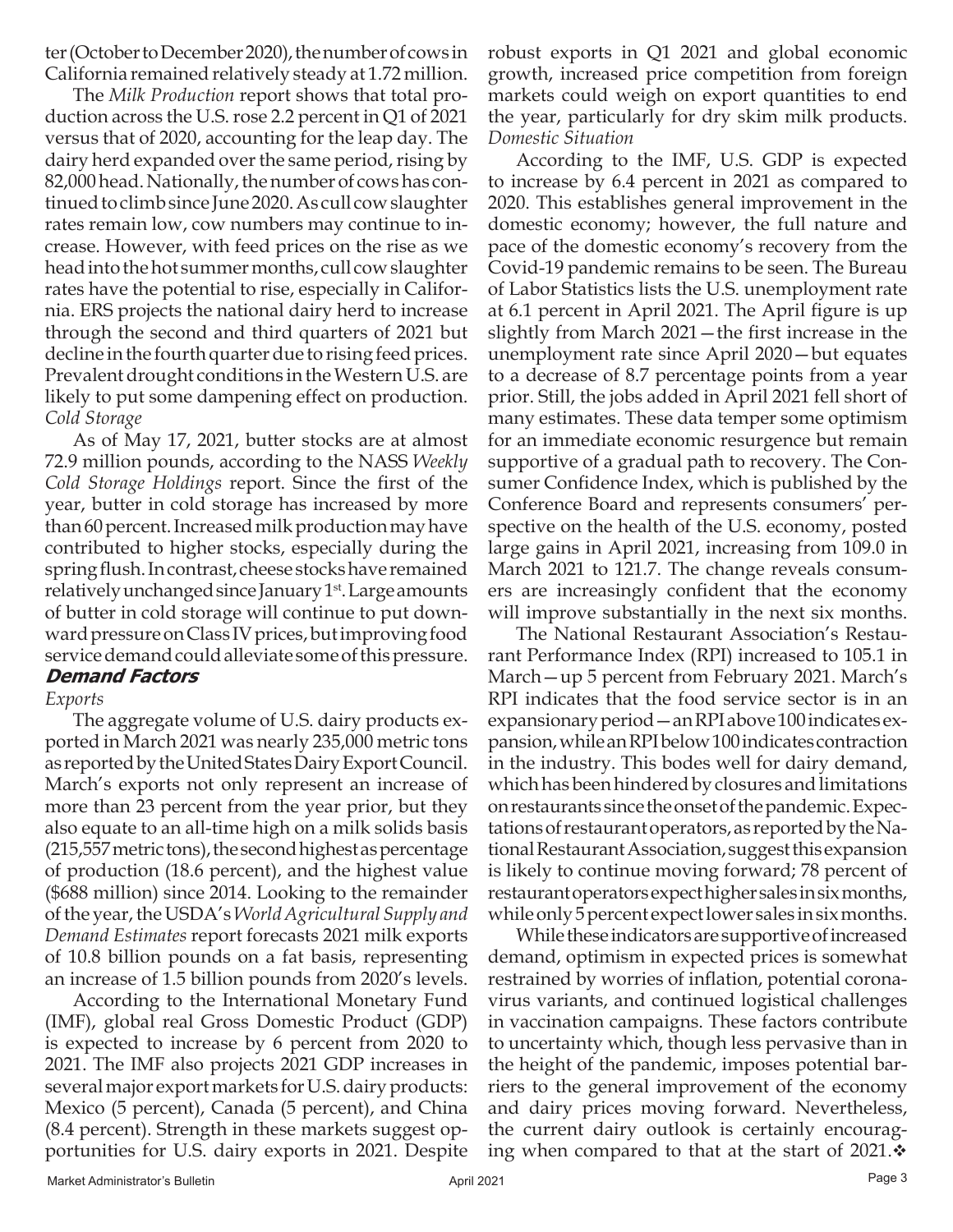ter (October to December 2020), the number of cows in California remained relatively steady at 1.72 million.

The *Milk Production* report shows that total production across the U.S. rose 2.2 percent in Q1 of 2021 versus that of 2020, accounting for the leap day. The dairy herd expanded over the same period, rising by 82,000 head. Nationally, the number of cows has continued to climb since June 2020. As cull cow slaughter rates remain low, cow numbers may continue to increase. However, with feed prices on the rise as we head into the hot summer months, cull cow slaughter rates have the potential to rise, especially in California. ERS projects the national dairy herd to increase through the second and third quarters of 2021 but decline in the fourth quarter due to rising feed prices. Prevalent drought conditions in the Western U.S. are likely to put some dampening effect on production. *Cold Storage*

As of May 17, 2021, butter stocks are at almost 72.9 million pounds, according to the NASS *Weekly Cold Storage Holdings* report. Since the first of the year, butter in cold storage has increased by more than 60 percent. Increased milk production may have contributed to higher stocks, especially during the spring flush. In contrast, cheese stocks have remained relatively unchanged since January 1<sup>st</sup>. Large amounts of butter in cold storage will continue to put downward pressure on Class IV prices, but improving food service demand could alleviate some of this pressure.

### **Demand Factors**

### *Exports*

The aggregate volume of U.S. dairy products exported in March 2021 was nearly 235,000 metric tons as reported by the United States Dairy Export Council. March's exports not only represent an increase of more than 23 percent from the year prior, but they also equate to an all-time high on a milk solids basis (215,557 metric tons), the second highest as percentage of production (18.6 percent), and the highest value (\$688 million) since 2014. Looking to the remainder of the year, the USDA's *World Agricultural Supply and Demand Estimates* report forecasts 2021 milk exports of 10.8 billion pounds on a fat basis, representing an increase of 1.5 billion pounds from 2020's levels.

According to the International Monetary Fund (IMF), global real Gross Domestic Product (GDP) is expected to increase by 6 percent from 2020 to 2021. The IMF also projects 2021 GDP increases in several major export markets for U.S. dairy products: Mexico (5 percent), Canada (5 percent), and China (8.4 percent). Strength in these markets suggest opportunities for U.S. dairy exports in 2021. Despite

robust exports in Q1 2021 and global economic growth, increased price competition from foreign markets could weigh on export quantities to end the year, particularly for dry skim milk products. *Domestic Situation*

According to the IMF, U.S. GDP is expected to increase by 6.4 percent in 2021 as compared to 2020. This establishes general improvement in the domestic economy; however, the full nature and pace of the domestic economy's recovery from the Covid-19 pandemic remains to be seen. The Bureau of Labor Statistics lists the U.S. unemployment rate at 6.1 percent in April 2021. The April figure is up slightly from March 2021—the first increase in the unemployment rate since April 2020—but equates to a decrease of 8.7 percentage points from a year prior. Still, the jobs added in April 2021 fell short of many estimates. These data temper some optimism for an immediate economic resurgence but remain supportive of a gradual path to recovery. The Consumer Confidence Index, which is published by the Conference Board and represents consumers' perspective on the health of the U.S. economy, posted large gains in April 2021, increasing from 109.0 in March 2021 to 121.7. The change reveals consumers are increasingly confident that the economy will improve substantially in the next six months.

The National Restaurant Association's Restaurant Performance Index (RPI) increased to 105.1 in March—up 5 percent from February 2021. March's RPI indicates that the food service sector is in an expansionary period—an RPI above 100 indicates expansion, while an RPI below 100 indicates contraction in the industry. This bodes well for dairy demand, which has been hindered by closures and limitations on restaurants since the onset of the pandemic. Expectations of restaurant operators, as reported by the National Restaurant Association, suggest this expansion is likely to continue moving forward; 78 percent of restaurant operators expect higher sales in six months, while only 5 percent expect lower sales in six months.

While these indicators are supportive of increased demand, optimism in expected prices is somewhat restrained by worries of inflation, potential coronavirus variants, and continued logistical challenges in vaccination campaigns. These factors contribute to uncertainty which, though less pervasive than in the height of the pandemic, imposes potential barriers to the general improvement of the economy and dairy prices moving forward. Nevertheless, the current dairy outlook is certainly encouraging when compared to that at the start of 2021. $\cdot$